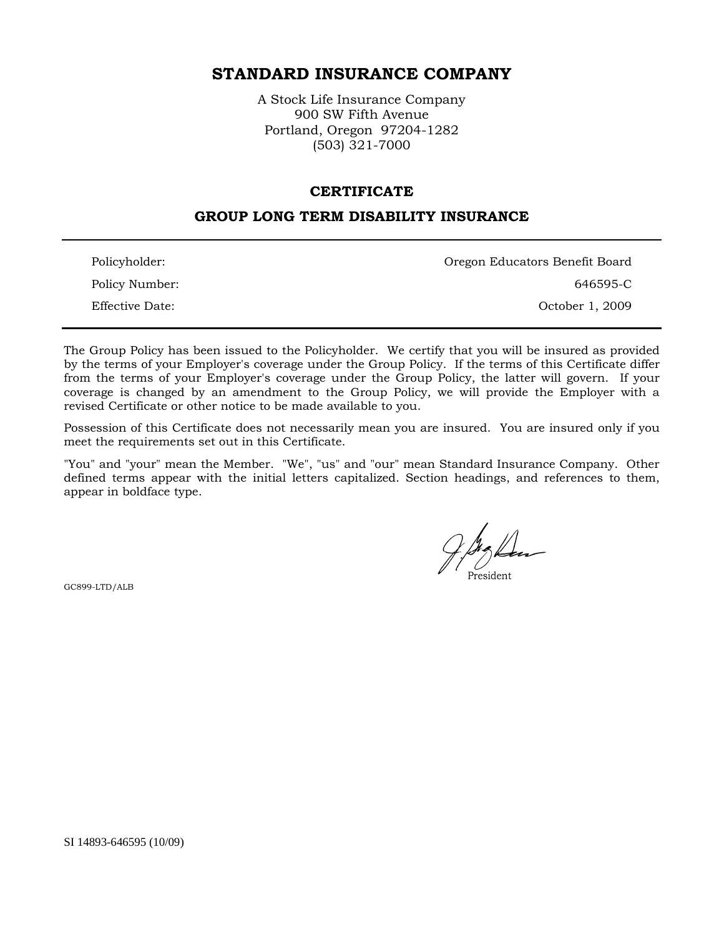# **STANDARD INSURANCE COMPANY**

A Stock Life Insurance Company 900 SW Fifth Avenue Portland, Oregon 97204-1282 (503) 321-7000

#### **CERTIFICATE**

## **GROUP LONG TERM DISABILITY INSURANCE**

| Policyholder:   | Oregon Educators Benefit Board |
|-----------------|--------------------------------|
| Policy Number:  | 646595-C                       |
| Effective Date: | October 1, 2009                |

The Group Policy has been issued to the Policyholder. We certify that you will be insured as provided by the terms of your Employer's coverage under the Group Policy. If the terms of this Certificate differ from the terms of your Employer's coverage under the Group Policy, the latter will govern. If your coverage is changed by an amendment to the Group Policy, we will provide the Employer with a revised Certificate or other notice to be made available to you.

Possession of this Certificate does not necessarily mean you are insured. You are insured only if you meet the requirements set out in this Certificate.

"You" and "your" mean the Member. "We", "us" and "our" mean Standard Insurance Company. Other defined terms appear with the initial letters capitalized. Section headings, and references to them, appear in boldface type.

President

GC899-LTD/ALB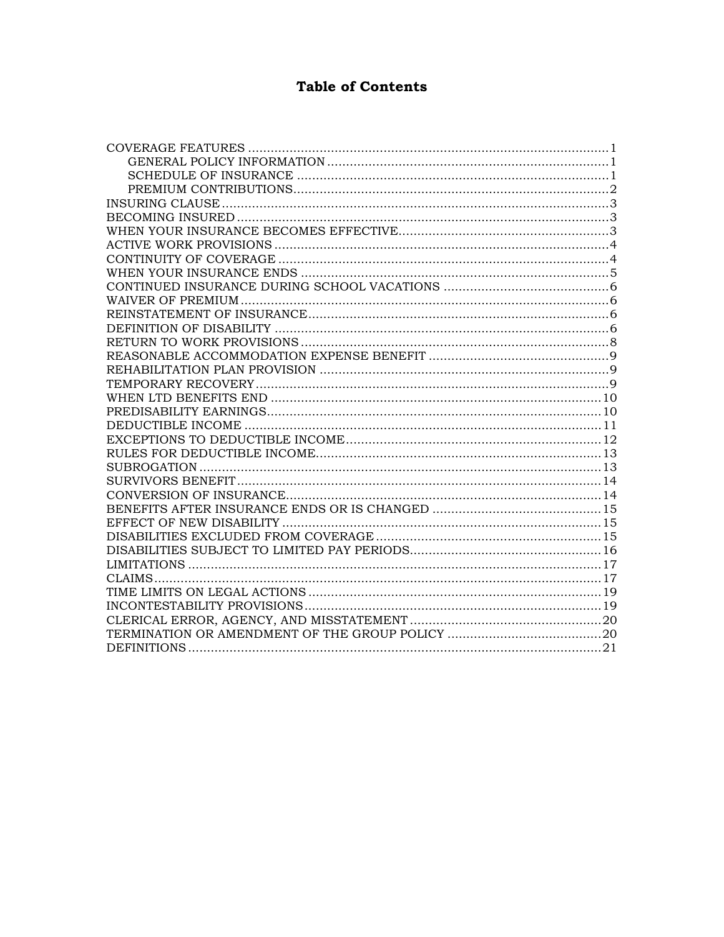# **Table of Contents**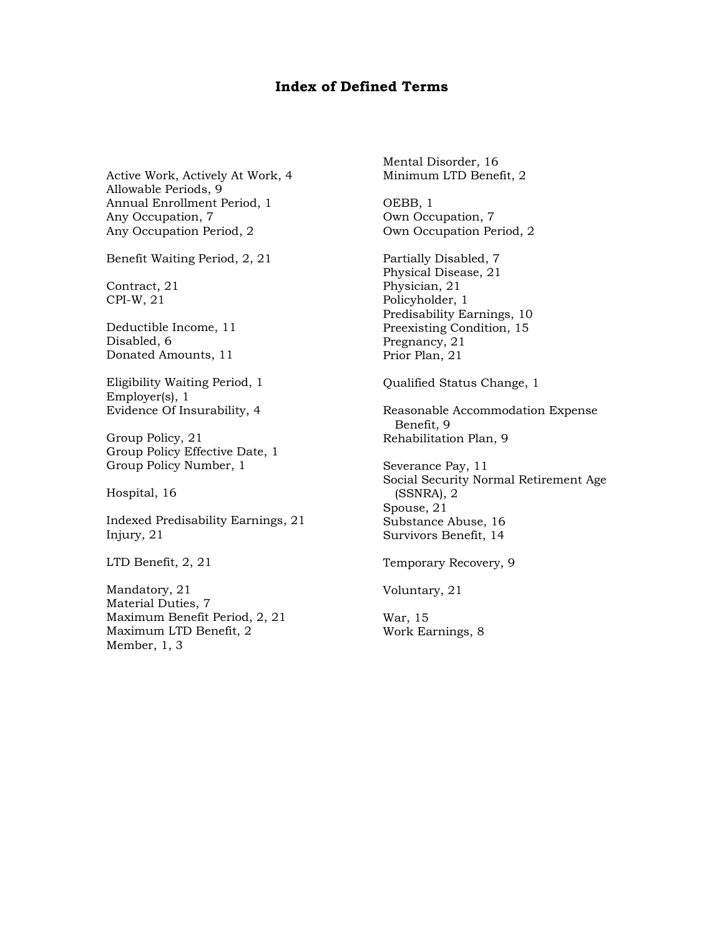## **Index of Defined Terms**

Active Work, Actively At Work, 4 Allowable Periods, 9 Annual Enrollment Period, 1 Any Occupation, 7 Any Occupation Period, 2

Benefit Waiting Period, 2, 21

Contract, 21 CPI-W, 21

Deductible Income, 11 Disabled, 6 Donated Amounts, 11

Eligibility Waiting Period, 1 Employer(s), 1 Evidence Of Insurability, 4

Group Policy, 21 Group Policy Effective Date, 1 Group Policy Number, 1

Hospital, 16

Indexed Predisability Earnings, 21 Injury, 21

LTD Benefit, 2, 21

Mandatory, 21 Material Duties, 7 Maximum Benefit Period, 2, 21 Maximum LTD Benefit, 2 Member, 1, 3

Mental Disorder, 16 Minimum LTD Benefit, 2

OEBB, 1 Own Occupation, 7 Own Occupation Period, 2

Partially Disabled, 7 Physical Disease, 21 Physician, 21 Policyholder, 1 Predisability Earnings, 10 Preexisting Condition, 15 Pregnancy, 21 Prior Plan, 21

Qualified Status Change, 1

Reasonable Accommodation Expense Benefit, 9 Rehabilitation Plan, 9

Severance Pay, 11 Social Security Normal Retirement Age (SSNRA), 2 Spouse, 21 Substance Abuse, 16 Survivors Benefit, 14

Temporary Recovery, 9

Voluntary, 21

War, 15 Work Earnings, 8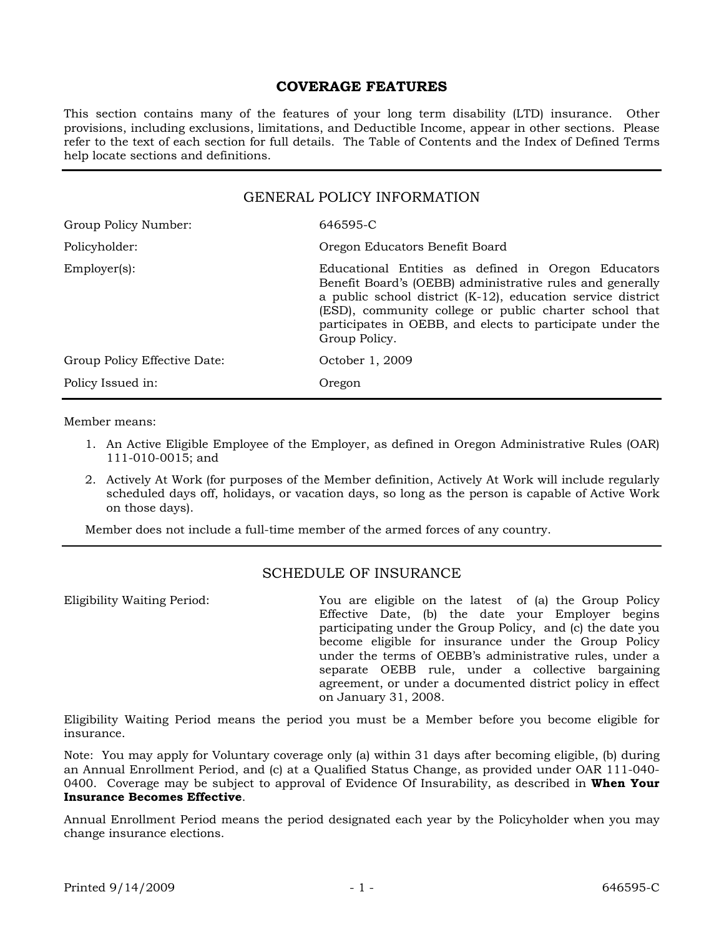### **COVERAGE FEATURES**

This section contains many of the features of your long term disability (LTD) insurance. Other provisions, including exclusions, limitations, and Deductible Income, appear in other sections. Please refer to the text of each section for full details. The Table of Contents and the Index of Defined Terms help locate sections and definitions.

| <b>GENERAL POLICY INFORMATION</b> |                                                                                                                                                                                                                                                                                                                            |  |
|-----------------------------------|----------------------------------------------------------------------------------------------------------------------------------------------------------------------------------------------------------------------------------------------------------------------------------------------------------------------------|--|
| Group Policy Number:              | 646595-C                                                                                                                                                                                                                                                                                                                   |  |
| Policyholder:                     | Oregon Educators Benefit Board                                                                                                                                                                                                                                                                                             |  |
| $Emplover(s)$ :                   | Educational Entities as defined in Oregon Educators<br>Benefit Board's (OEBB) administrative rules and generally<br>a public school district $(K-12)$ , education service district<br>(ESD), community college or public charter school that<br>participates in OEBB, and elects to participate under the<br>Group Policy. |  |
| Group Policy Effective Date:      | October 1, 2009                                                                                                                                                                                                                                                                                                            |  |
| Policy Issued in:                 | Oregon                                                                                                                                                                                                                                                                                                                     |  |

Member means:

- 1. An Active Eligible Employee of the Employer, as defined in Oregon Administrative Rules (OAR) 111-010-0015; and
- 2. Actively At Work (for purposes of the Member definition, Actively At Work will include regularly scheduled days off, holidays, or vacation days, so long as the person is capable of Active Work on those days).

Member does not include a full-time member of the armed forces of any country.

## SCHEDULE OF INSURANCE

Eligibility Waiting Period: You are eligible on the latest of (a) the Group Policy Effective Date, (b) the date your Employer begins participating under the Group Policy, and (c) the date you become eligible for insurance under the Group Policy under the terms of OEBB's administrative rules, under a separate OEBB rule, under a collective bargaining agreement, or under a documented district policy in effect on January 31, 2008.

Eligibility Waiting Period means the period you must be a Member before you become eligible for insurance.

Note: You may apply for Voluntary coverage only (a) within 31 days after becoming eligible, (b) during an Annual Enrollment Period, and (c) at a Qualified Status Change, as provided under OAR 111-040- 0400. Coverage may be subject to approval of Evidence Of Insurability, as described in **When Your Insurance Becomes Effective**.

Annual Enrollment Period means the period designated each year by the Policyholder when you may change insurance elections.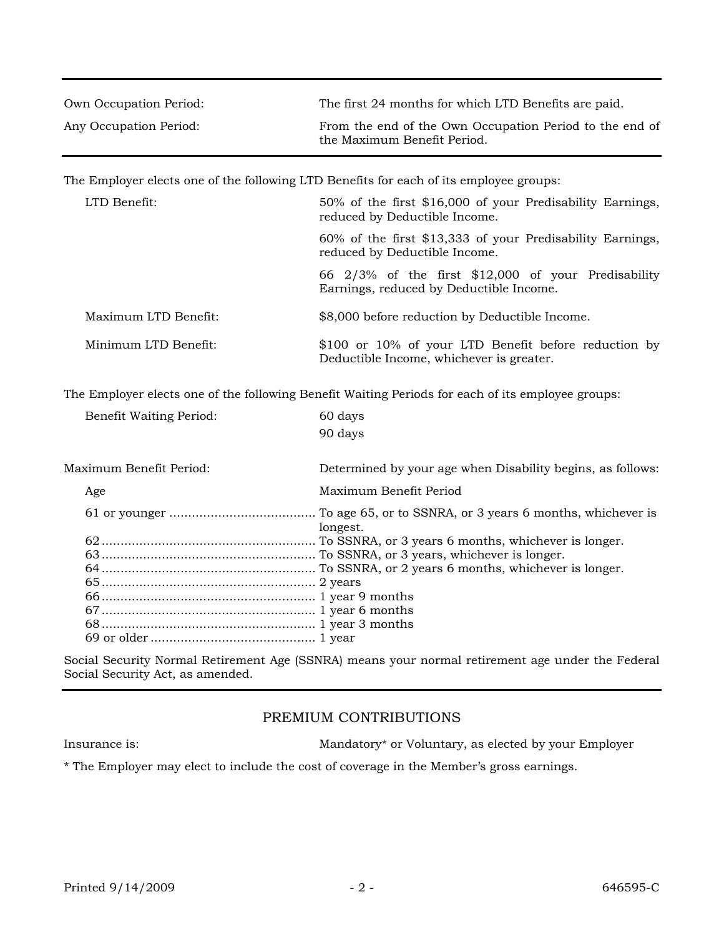| Own Occupation Period:                                                                            | The first 24 months for which LTD Benefits are paid.                                             |  |
|---------------------------------------------------------------------------------------------------|--------------------------------------------------------------------------------------------------|--|
| Any Occupation Period:                                                                            | From the end of the Own Occupation Period to the end of<br>the Maximum Benefit Period.           |  |
| The Employer elects one of the following LTD Benefits for each of its employee groups:            |                                                                                                  |  |
| LTD Benefit:                                                                                      | 50% of the first \$16,000 of your Predisability Earnings,<br>reduced by Deductible Income.       |  |
|                                                                                                   | 60% of the first \$13,333 of your Predisability Earnings,<br>reduced by Deductible Income.       |  |
|                                                                                                   | 66 2/3% of the first \$12,000 of your Predisability<br>Earnings, reduced by Deductible Income.   |  |
| Maximum LTD Benefit:                                                                              | \$8,000 before reduction by Deductible Income.                                                   |  |
| Minimum LTD Benefit:                                                                              | \$100 or 10% of your LTD Benefit before reduction by<br>Deductible Income, whichever is greater. |  |
| The Employer elects one of the following Benefit Waiting Periods for each of its employee groups: |                                                                                                  |  |
| <b>Benefit Waiting Period:</b>                                                                    | 60 days<br>90 days                                                                               |  |
| Maximum Benefit Period:                                                                           | Determined by your age when Disability begins, as follows:                                       |  |
| Age                                                                                               | Maximum Benefit Period                                                                           |  |
|                                                                                                   | longest.                                                                                         |  |
| Social Security Normal Retirement Age (SSNRA) means your normal retirement age under the Federal  |                                                                                                  |  |

Social Security Act, as amended.

## PREMIUM CONTRIBUTIONS

Insurance is: Mandatory\* or Voluntary, as elected by your Employer

\* The Employer may elect to include the cost of coverage in the Member's gross earnings.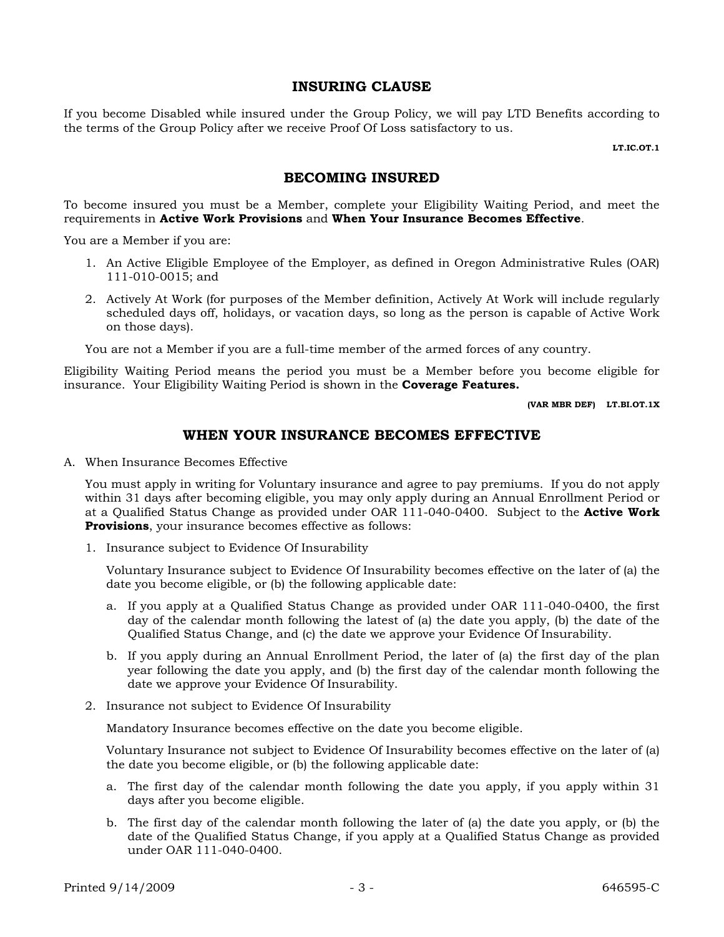### **INSURING CLAUSE**

If you become Disabled while insured under the Group Policy, we will pay LTD Benefits according to the terms of the Group Policy after we receive Proof Of Loss satisfactory to us.

**LT.IC.OT.1**

## **BECOMING INSURED**

To become insured you must be a Member, complete your Eligibility Waiting Period, and meet the requirements in **Active Work Provisions** and **When Your Insurance Becomes Effective**.

You are a Member if you are:

- 1. An Active Eligible Employee of the Employer, as defined in Oregon Administrative Rules (OAR) 111-010-0015; and
- 2. Actively At Work (for purposes of the Member definition, Actively At Work will include regularly scheduled days off, holidays, or vacation days, so long as the person is capable of Active Work on those days).

You are not a Member if you are a full-time member of the armed forces of any country.

Eligibility Waiting Period means the period you must be a Member before you become eligible for insurance. Your Eligibility Waiting Period is shown in the **Coverage Features.**

**(VAR MBR DEF) LT.BI.OT.1X**

### **WHEN YOUR INSURANCE BECOMES EFFECTIVE**

A. When Insurance Becomes Effective

You must apply in writing for Voluntary insurance and agree to pay premiums. If you do not apply within 31 days after becoming eligible, you may only apply during an Annual Enrollment Period or at a Qualified Status Change as provided under OAR 111-040-0400. Subject to the **Active Work Provisions**, your insurance becomes effective as follows:

1. Insurance subject to Evidence Of Insurability

Voluntary Insurance subject to Evidence Of Insurability becomes effective on the later of (a) the date you become eligible, or (b) the following applicable date:

- a. If you apply at a Qualified Status Change as provided under OAR 111-040-0400, the first day of the calendar month following the latest of (a) the date you apply, (b) the date of the Qualified Status Change, and (c) the date we approve your Evidence Of Insurability.
- b. If you apply during an Annual Enrollment Period, the later of (a) the first day of the plan year following the date you apply, and (b) the first day of the calendar month following the date we approve your Evidence Of Insurability.
- 2. Insurance not subject to Evidence Of Insurability

Mandatory Insurance becomes effective on the date you become eligible.

Voluntary Insurance not subject to Evidence Of Insurability becomes effective on the later of (a) the date you become eligible, or (b) the following applicable date:

- a. The first day of the calendar month following the date you apply, if you apply within 31 days after you become eligible.
- b. The first day of the calendar month following the later of (a) the date you apply, or (b) the date of the Qualified Status Change, if you apply at a Qualified Status Change as provided under OAR 111-040-0400.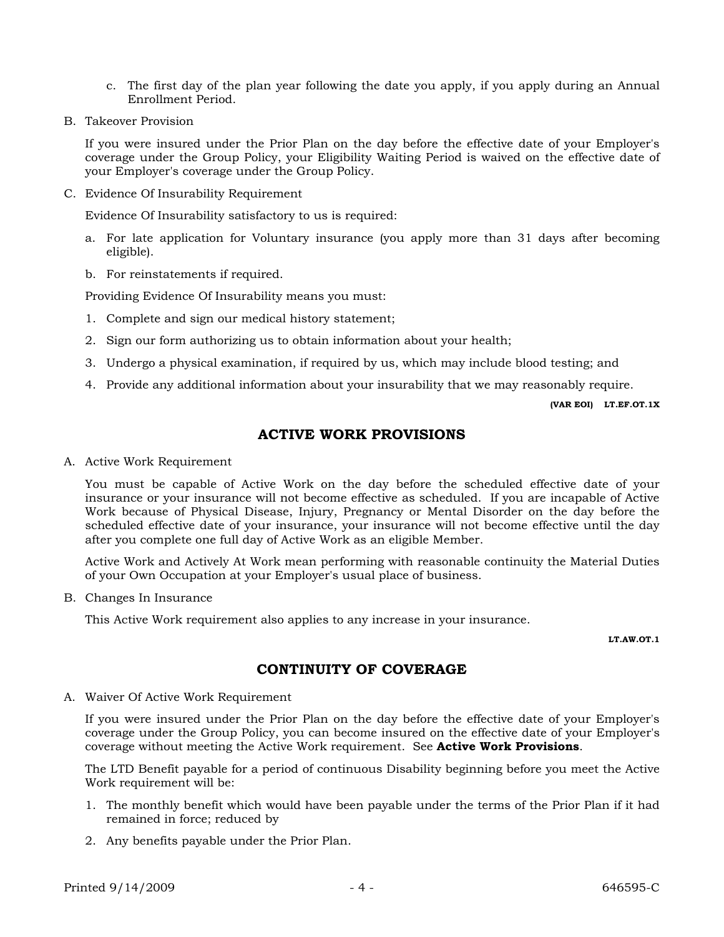- c. The first day of the plan year following the date you apply, if you apply during an Annual Enrollment Period.
- B. Takeover Provision

If you were insured under the Prior Plan on the day before the effective date of your Employer's coverage under the Group Policy, your Eligibility Waiting Period is waived on the effective date of your Employer's coverage under the Group Policy.

C. Evidence Of Insurability Requirement

Evidence Of Insurability satisfactory to us is required:

- a. For late application for Voluntary insurance (you apply more than 31 days after becoming eligible).
- b. For reinstatements if required.

Providing Evidence Of Insurability means you must:

- 1. Complete and sign our medical history statement;
- 2. Sign our form authorizing us to obtain information about your health;
- 3. Undergo a physical examination, if required by us, which may include blood testing; and
- 4. Provide any additional information about your insurability that we may reasonably require.

**(VAR EOI) LT.EF.OT.1X**

## **ACTIVE WORK PROVISIONS**

A. Active Work Requirement

You must be capable of Active Work on the day before the scheduled effective date of your insurance or your insurance will not become effective as scheduled. If you are incapable of Active Work because of Physical Disease, Injury, Pregnancy or Mental Disorder on the day before the scheduled effective date of your insurance, your insurance will not become effective until the day after you complete one full day of Active Work as an eligible Member.

Active Work and Actively At Work mean performing with reasonable continuity the Material Duties of your Own Occupation at your Employer's usual place of business.

B. Changes In Insurance

This Active Work requirement also applies to any increase in your insurance.

**LT.AW.OT.1**

## **CONTINUITY OF COVERAGE**

A. Waiver Of Active Work Requirement

If you were insured under the Prior Plan on the day before the effective date of your Employer's coverage under the Group Policy, you can become insured on the effective date of your Employer's coverage without meeting the Active Work requirement. See **Active Work Provisions**.

The LTD Benefit payable for a period of continuous Disability beginning before you meet the Active Work requirement will be:

- 1. The monthly benefit which would have been payable under the terms of the Prior Plan if it had remained in force; reduced by
- 2. Any benefits payable under the Prior Plan.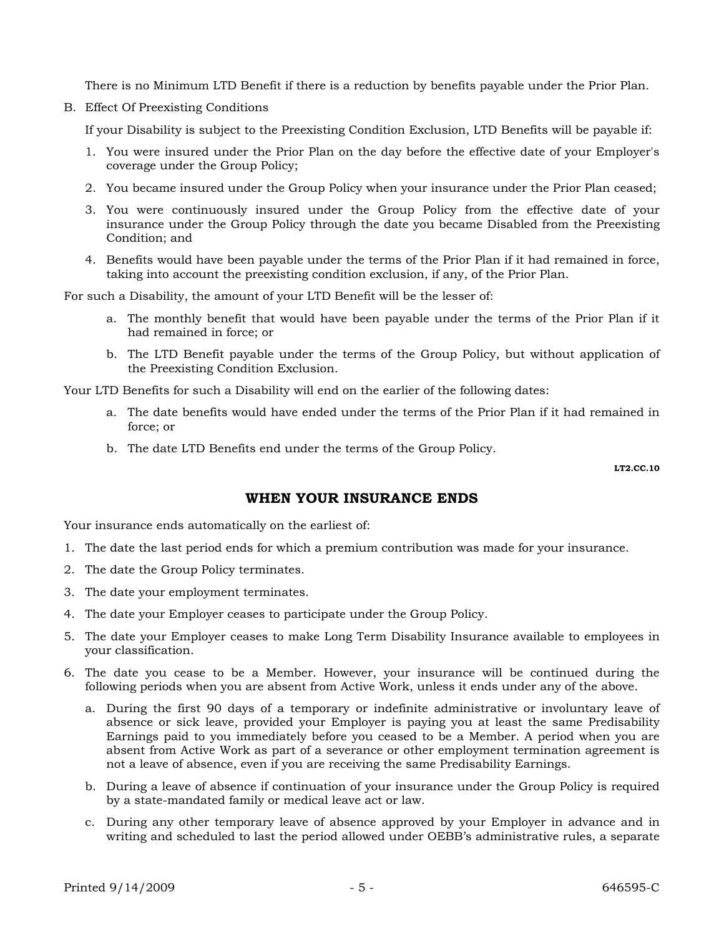There is no Minimum LTD Benefit if there is a reduction by benefits payable under the Prior Plan.

B. Effect Of Preexisting Conditions

If your Disability is subject to the Preexisting Condition Exclusion, LTD Benefits will be payable if:

- 1. You were insured under the Prior Plan on the day before the effective date of your Employer's coverage under the Group Policy;
- 2. You became insured under the Group Policy when your insurance under the Prior Plan ceased;
- 3. You were continuously insured under the Group Policy from the effective date of your insurance under the Group Policy through the date you became Disabled from the Preexisting Condition; and
- 4. Benefits would have been payable under the terms of the Prior Plan if it had remained in force, taking into account the preexisting condition exclusion, if any, of the Prior Plan.

For such a Disability, the amount of your LTD Benefit will be the lesser of:

- a. The monthly benefit that would have been payable under the terms of the Prior Plan if it had remained in force; or
- b. The LTD Benefit payable under the terms of the Group Policy, but without application of the Preexisting Condition Exclusion.

Your LTD Benefits for such a Disability will end on the earlier of the following dates:

- a. The date benefits would have ended under the terms of the Prior Plan if it had remained in force; or
- b. The date LTD Benefits end under the terms of the Group Policy.

**LT2.CC.10** 

## **WHEN YOUR INSURANCE ENDS**

Your insurance ends automatically on the earliest of:

- 1. The date the last period ends for which a premium contribution was made for your insurance.
- 2. The date the Group Policy terminates.
- 3. The date your employment terminates.
- 4. The date your Employer ceases to participate under the Group Policy.
- 5. The date your Employer ceases to make Long Term Disability Insurance available to employees in your classification.
- 6. The date you cease to be a Member. However, your insurance will be continued during the following periods when you are absent from Active Work, unless it ends under any of the above.
	- a. During the first 90 days of a temporary or indefinite administrative or involuntary leave of absence or sick leave, provided your Employer is paying you at least the same Predisability Earnings paid to you immediately before you ceased to be a Member. A period when you are absent from Active Work as part of a severance or other employment termination agreement is not a leave of absence, even if you are receiving the same Predisability Earnings.
	- b. During a leave of absence if continuation of your insurance under the Group Policy is required by a state-mandated family or medical leave act or law.
	- c. During any other temporary leave of absence approved by your Employer in advance and in writing and scheduled to last the period allowed under OEBB's administrative rules, a separate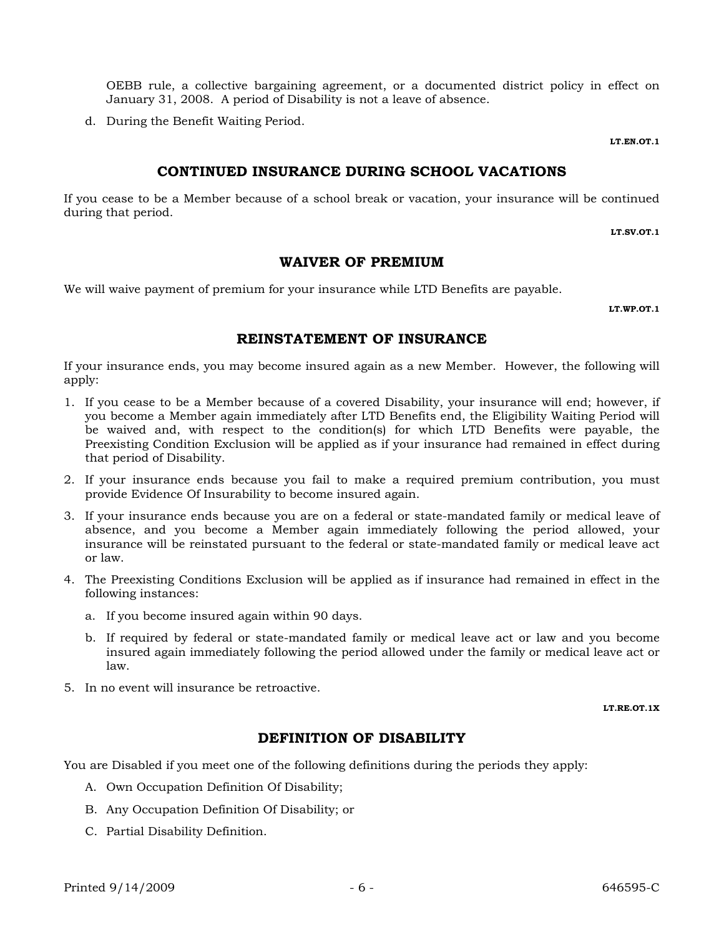OEBB rule, a collective bargaining agreement, or a documented district policy in effect on January 31, 2008. A period of Disability is not a leave of absence.

d. During the Benefit Waiting Period.

**LT.EN.OT.1**

## **CONTINUED INSURANCE DURING SCHOOL VACATIONS**

If you cease to be a Member because of a school break or vacation, your insurance will be continued during that period.

**LT.SV.OT.1**

### **WAIVER OF PREMIUM**

We will waive payment of premium for your insurance while LTD Benefits are payable.

**LT.WP.OT.1**

### **REINSTATEMENT OF INSURANCE**

If your insurance ends, you may become insured again as a new Member. However, the following will apply:

- 1. If you cease to be a Member because of a covered Disability, your insurance will end; however, if you become a Member again immediately after LTD Benefits end, the Eligibility Waiting Period will be waived and, with respect to the condition(s) for which LTD Benefits were payable, the Preexisting Condition Exclusion will be applied as if your insurance had remained in effect during that period of Disability.
- 2. If your insurance ends because you fail to make a required premium contribution, you must provide Evidence Of Insurability to become insured again.
- 3. If your insurance ends because you are on a federal or state-mandated family or medical leave of absence, and you become a Member again immediately following the period allowed, your insurance will be reinstated pursuant to the federal or state-mandated family or medical leave act or law.
- 4. The Preexisting Conditions Exclusion will be applied as if insurance had remained in effect in the following instances:
	- a. If you become insured again within 90 days.
	- b. If required by federal or state-mandated family or medical leave act or law and you become insured again immediately following the period allowed under the family or medical leave act or law.
- 5. In no event will insurance be retroactive.

**LT.RE.OT.1X**

# **DEFINITION OF DISABILITY**

You are Disabled if you meet one of the following definitions during the periods they apply:

- A. Own Occupation Definition Of Disability;
- B. Any Occupation Definition Of Disability; or
- C. Partial Disability Definition.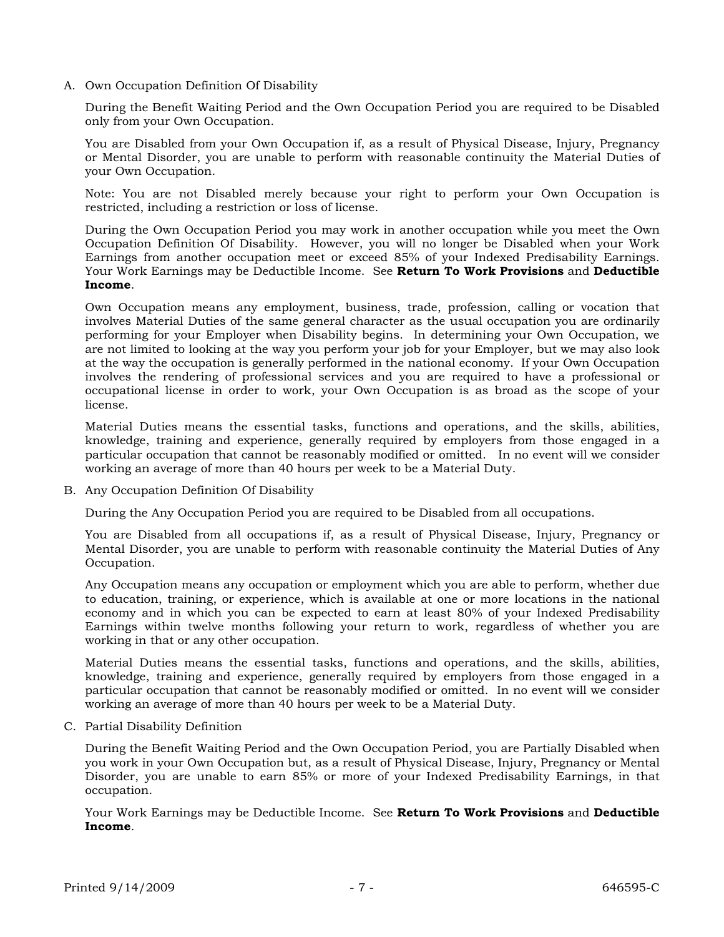A. Own Occupation Definition Of Disability

During the Benefit Waiting Period and the Own Occupation Period you are required to be Disabled only from your Own Occupation.

You are Disabled from your Own Occupation if, as a result of Physical Disease, Injury, Pregnancy or Mental Disorder, you are unable to perform with reasonable continuity the Material Duties of your Own Occupation.

Note: You are not Disabled merely because your right to perform your Own Occupation is restricted, including a restriction or loss of license.

During the Own Occupation Period you may work in another occupation while you meet the Own Occupation Definition Of Disability. However, you will no longer be Disabled when your Work Earnings from another occupation meet or exceed 85% of your Indexed Predisability Earnings. Your Work Earnings may be Deductible Income. See **Return To Work Provisions** and **Deductible Income**.

Own Occupation means any employment, business, trade, profession, calling or vocation that involves Material Duties of the same general character as the usual occupation you are ordinarily performing for your Employer when Disability begins. In determining your Own Occupation, we are not limited to looking at the way you perform your job for your Employer, but we may also look at the way the occupation is generally performed in the national economy. If your Own Occupation involves the rendering of professional services and you are required to have a professional or occupational license in order to work, your Own Occupation is as broad as the scope of your license.

Material Duties means the essential tasks, functions and operations, and the skills, abilities, knowledge, training and experience, generally required by employers from those engaged in a particular occupation that cannot be reasonably modified or omitted. In no event will we consider working an average of more than 40 hours per week to be a Material Duty.

B. Any Occupation Definition Of Disability

During the Any Occupation Period you are required to be Disabled from all occupations.

You are Disabled from all occupations if, as a result of Physical Disease, Injury, Pregnancy or Mental Disorder, you are unable to perform with reasonable continuity the Material Duties of Any Occupation.

Any Occupation means any occupation or employment which you are able to perform, whether due to education, training, or experience, which is available at one or more locations in the national economy and in which you can be expected to earn at least 80% of your Indexed Predisability Earnings within twelve months following your return to work, regardless of whether you are working in that or any other occupation.

Material Duties means the essential tasks, functions and operations, and the skills, abilities, knowledge, training and experience, generally required by employers from those engaged in a particular occupation that cannot be reasonably modified or omitted. In no event will we consider working an average of more than 40 hours per week to be a Material Duty.

C. Partial Disability Definition

During the Benefit Waiting Period and the Own Occupation Period, you are Partially Disabled when you work in your Own Occupation but, as a result of Physical Disease, Injury, Pregnancy or Mental Disorder, you are unable to earn 85% or more of your Indexed Predisability Earnings, in that occupation.

Your Work Earnings may be Deductible Income. See **Return To Work Provisions** and **Deductible Income**.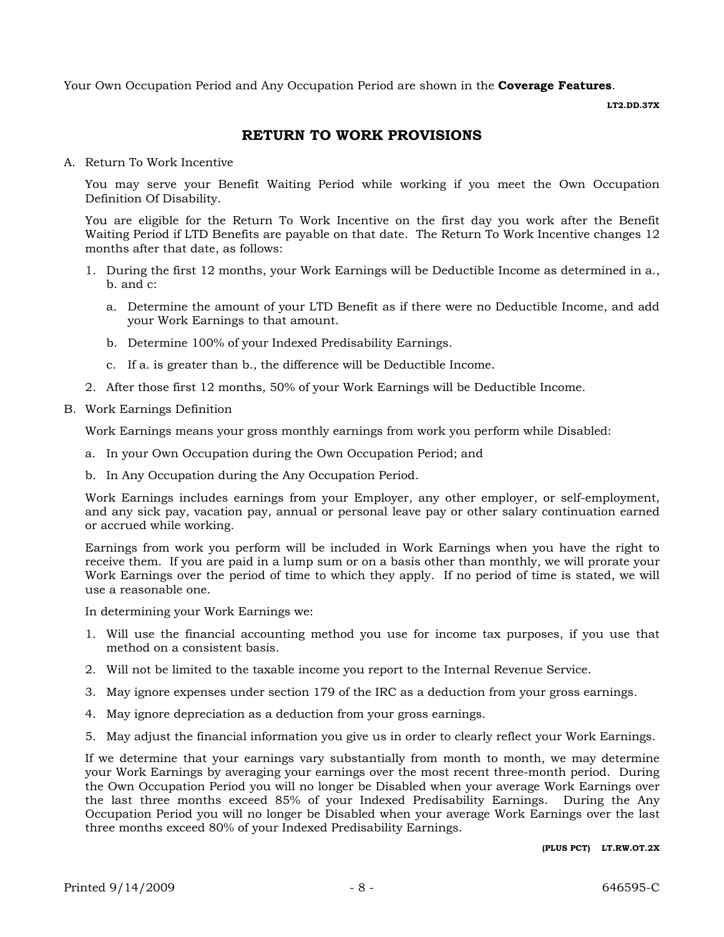Your Own Occupation Period and Any Occupation Period are shown in the **Coverage Features**.

**LT2.DD.37X** 

## **RETURN TO WORK PROVISIONS**

A. Return To Work Incentive

You may serve your Benefit Waiting Period while working if you meet the Own Occupation Definition Of Disability.

You are eligible for the Return To Work Incentive on the first day you work after the Benefit Waiting Period if LTD Benefits are payable on that date. The Return To Work Incentive changes 12 months after that date, as follows:

- 1. During the first 12 months, your Work Earnings will be Deductible Income as determined in a., b. and c:
	- a. Determine the amount of your LTD Benefit as if there were no Deductible Income, and add your Work Earnings to that amount.
	- b. Determine 100% of your Indexed Predisability Earnings.
	- c. If a. is greater than b., the difference will be Deductible Income.
- 2. After those first 12 months, 50% of your Work Earnings will be Deductible Income.
- B. Work Earnings Definition

Work Earnings means your gross monthly earnings from work you perform while Disabled:

- a. In your Own Occupation during the Own Occupation Period; and
- b. In Any Occupation during the Any Occupation Period.

Work Earnings includes earnings from your Employer, any other employer, or self-employment, and any sick pay, vacation pay, annual or personal leave pay or other salary continuation earned or accrued while working.

Earnings from work you perform will be included in Work Earnings when you have the right to receive them. If you are paid in a lump sum or on a basis other than monthly, we will prorate your Work Earnings over the period of time to which they apply. If no period of time is stated, we will use a reasonable one.

In determining your Work Earnings we:

- 1. Will use the financial accounting method you use for income tax purposes, if you use that method on a consistent basis.
- 2. Will not be limited to the taxable income you report to the Internal Revenue Service.
- 3. May ignore expenses under section 179 of the IRC as a deduction from your gross earnings.
- 4. May ignore depreciation as a deduction from your gross earnings.
- 5. May adjust the financial information you give us in order to clearly reflect your Work Earnings.

If we determine that your earnings vary substantially from month to month, we may determine your Work Earnings by averaging your earnings over the most recent three-month period. During the Own Occupation Period you will no longer be Disabled when your average Work Earnings over the last three months exceed 85% of your Indexed Predisability Earnings. During the Any Occupation Period you will no longer be Disabled when your average Work Earnings over the last three months exceed 80% of your Indexed Predisability Earnings.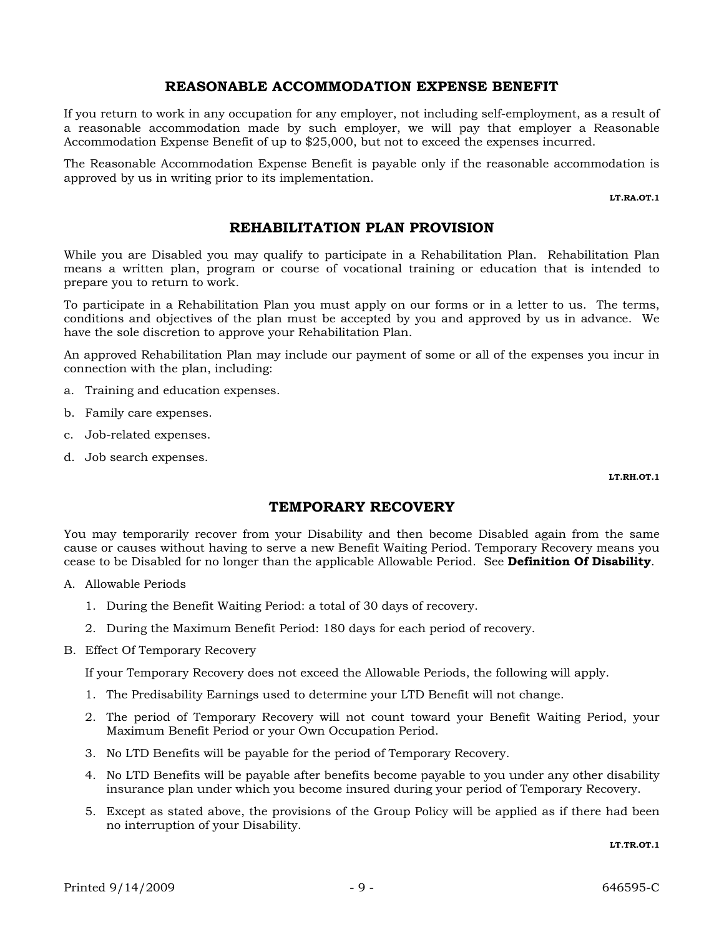#### **REASONABLE ACCOMMODATION EXPENSE BENEFIT**

If you return to work in any occupation for any employer, not including self-employment, as a result of a reasonable accommodation made by such employer, we will pay that employer a Reasonable Accommodation Expense Benefit of up to \$25,000, but not to exceed the expenses incurred.

The Reasonable Accommodation Expense Benefit is payable only if the reasonable accommodation is approved by us in writing prior to its implementation.

**LT.RA.OT.1**

## **REHABILITATION PLAN PROVISION**

While you are Disabled you may qualify to participate in a Rehabilitation Plan. Rehabilitation Plan means a written plan, program or course of vocational training or education that is intended to prepare you to return to work.

To participate in a Rehabilitation Plan you must apply on our forms or in a letter to us. The terms, conditions and objectives of the plan must be accepted by you and approved by us in advance. We have the sole discretion to approve your Rehabilitation Plan.

An approved Rehabilitation Plan may include our payment of some or all of the expenses you incur in connection with the plan, including:

- a. Training and education expenses.
- b. Family care expenses.
- c. Job-related expenses.
- d. Job search expenses.

**LT.RH.OT.1**

#### **TEMPORARY RECOVERY**

You may temporarily recover from your Disability and then become Disabled again from the same cause or causes without having to serve a new Benefit Waiting Period. Temporary Recovery means you cease to be Disabled for no longer than the applicable Allowable Period. See **Definition Of Disability**.

- A. Allowable Periods
	- 1. During the Benefit Waiting Period: a total of 30 days of recovery.
	- 2. During the Maximum Benefit Period: 180 days for each period of recovery.
- B. Effect Of Temporary Recovery

If your Temporary Recovery does not exceed the Allowable Periods, the following will apply.

- 1. The Predisability Earnings used to determine your LTD Benefit will not change.
- 2. The period of Temporary Recovery will not count toward your Benefit Waiting Period, your Maximum Benefit Period or your Own Occupation Period.
- 3. No LTD Benefits will be payable for the period of Temporary Recovery.
- 4. No LTD Benefits will be payable after benefits become payable to you under any other disability insurance plan under which you become insured during your period of Temporary Recovery.
- 5. Except as stated above, the provisions of the Group Policy will be applied as if there had been no interruption of your Disability.

**LT.TR.OT.1**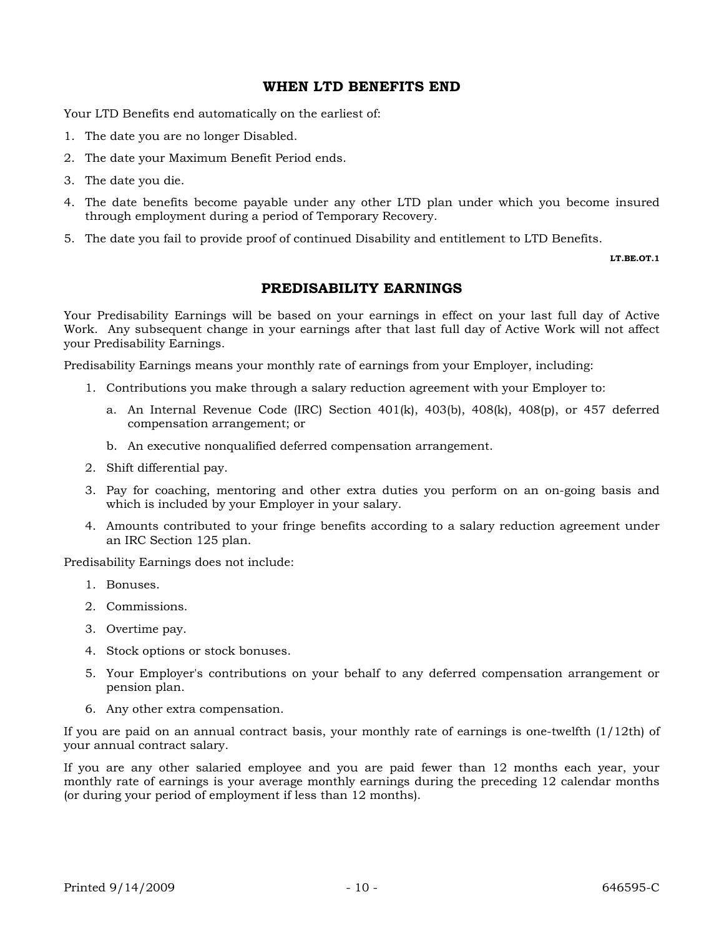### **WHEN LTD BENEFITS END**

Your LTD Benefits end automatically on the earliest of:

- 1. The date you are no longer Disabled.
- 2. The date your Maximum Benefit Period ends.
- 3. The date you die.
- 4. The date benefits become payable under any other LTD plan under which you become insured through employment during a period of Temporary Recovery.
- 5. The date you fail to provide proof of continued Disability and entitlement to LTD Benefits.

**LT.BE.OT.1**

### **PREDISABILITY EARNINGS**

Your Predisability Earnings will be based on your earnings in effect on your last full day of Active Work. Any subsequent change in your earnings after that last full day of Active Work will not affect your Predisability Earnings.

Predisability Earnings means your monthly rate of earnings from your Employer, including:

- 1. Contributions you make through a salary reduction agreement with your Employer to:
	- a. An Internal Revenue Code (IRC) Section  $401(k)$ ,  $403(b)$ ,  $408(k)$ ,  $408(p)$ , or  $457$  deferred compensation arrangement; or
	- b. An executive nonqualified deferred compensation arrangement.
- 2. Shift differential pay.
- 3. Pay for coaching, mentoring and other extra duties you perform on an on-going basis and which is included by your Employer in your salary.
- 4. Amounts contributed to your fringe benefits according to a salary reduction agreement under an IRC Section 125 plan.

Predisability Earnings does not include:

- 1. Bonuses.
- 2. Commissions.
- 3. Overtime pay.
- 4. Stock options or stock bonuses.
- 5. Your Employer's contributions on your behalf to any deferred compensation arrangement or pension plan.
- 6. Any other extra compensation.

If you are paid on an annual contract basis, your monthly rate of earnings is one-twelfth (1/12th) of your annual contract salary.

If you are any other salaried employee and you are paid fewer than 12 months each year, your monthly rate of earnings is your average monthly earnings during the preceding 12 calendar months (or during your period of employment if less than 12 months).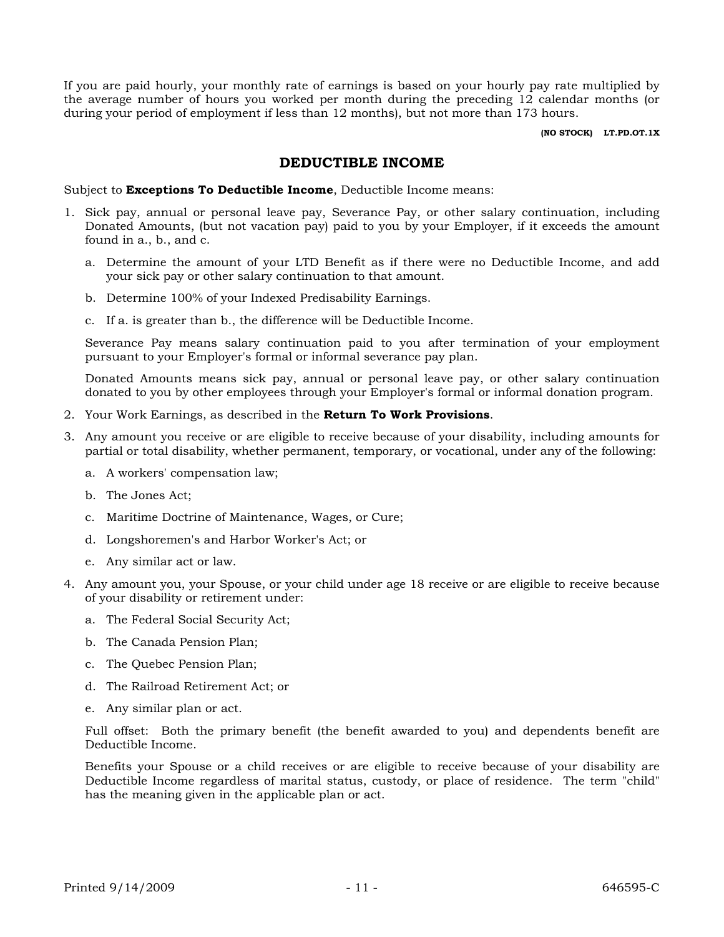If you are paid hourly, your monthly rate of earnings is based on your hourly pay rate multiplied by the average number of hours you worked per month during the preceding 12 calendar months (or during your period of employment if less than 12 months), but not more than 173 hours.

**(NO STOCK) LT.PD.OT.1X**

#### **DEDUCTIBLE INCOME**

Subject to **Exceptions To Deductible Income**, Deductible Income means:

- 1. Sick pay, annual or personal leave pay, Severance Pay, or other salary continuation, including Donated Amounts, (but not vacation pay) paid to you by your Employer, if it exceeds the amount found in a., b., and c.
	- a. Determine the amount of your LTD Benefit as if there were no Deductible Income, and add your sick pay or other salary continuation to that amount.
	- b. Determine 100% of your Indexed Predisability Earnings.
	- c. If a. is greater than b., the difference will be Deductible Income.

Severance Pay means salary continuation paid to you after termination of your employment pursuant to your Employer's formal or informal severance pay plan.

Donated Amounts means sick pay, annual or personal leave pay, or other salary continuation donated to you by other employees through your Employer's formal or informal donation program.

- 2. Your Work Earnings, as described in the **Return To Work Provisions**.
- 3. Any amount you receive or are eligible to receive because of your disability, including amounts for partial or total disability, whether permanent, temporary, or vocational, under any of the following:
	- a. A workers' compensation law;
	- b. The Jones Act;
	- c. Maritime Doctrine of Maintenance, Wages, or Cure;
	- d. Longshoremen's and Harbor Worker's Act; or
	- e. Any similar act or law.
- 4. Any amount you, your Spouse, or your child under age 18 receive or are eligible to receive because of your disability or retirement under:
	- a. The Federal Social Security Act;
	- b. The Canada Pension Plan;
	- c. The Quebec Pension Plan;
	- d. The Railroad Retirement Act; or
	- e. Any similar plan or act.

Full offset: Both the primary benefit (the benefit awarded to you) and dependents benefit are Deductible Income.

Benefits your Spouse or a child receives or are eligible to receive because of your disability are Deductible Income regardless of marital status, custody, or place of residence. The term "child" has the meaning given in the applicable plan or act.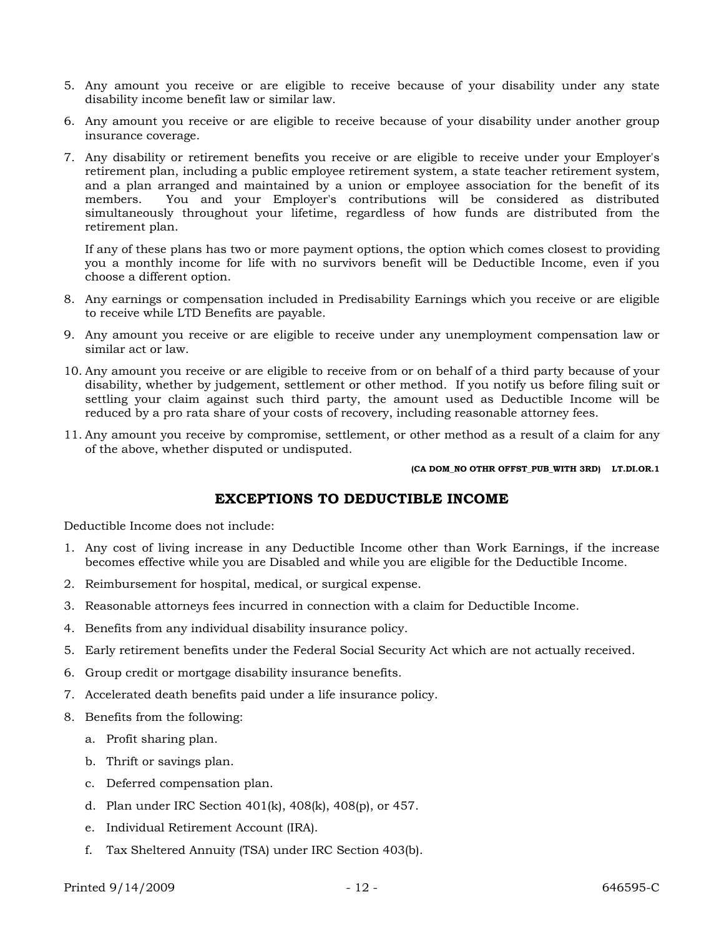- 5. Any amount you receive or are eligible to receive because of your disability under any state disability income benefit law or similar law.
- 6. Any amount you receive or are eligible to receive because of your disability under another group insurance coverage.
- 7. Any disability or retirement benefits you receive or are eligible to receive under your Employer's retirement plan, including a public employee retirement system, a state teacher retirement system, and a plan arranged and maintained by a union or employee association for the benefit of its members. You and your Employer's contributions will be considered as distributed simultaneously throughout your lifetime, regardless of how funds are distributed from the retirement plan.

If any of these plans has two or more payment options, the option which comes closest to providing you a monthly income for life with no survivors benefit will be Deductible Income, even if you choose a different option.

- 8. Any earnings or compensation included in Predisability Earnings which you receive or are eligible to receive while LTD Benefits are payable.
- 9. Any amount you receive or are eligible to receive under any unemployment compensation law or similar act or law.
- 10. Any amount you receive or are eligible to receive from or on behalf of a third party because of your disability, whether by judgement, settlement or other method. If you notify us before filing suit or settling your claim against such third party, the amount used as Deductible Income will be reduced by a pro rata share of your costs of recovery, including reasonable attorney fees.
- 11. Any amount you receive by compromise, settlement, or other method as a result of a claim for any of the above, whether disputed or undisputed.

**(CA DOM\_NO OTHR OFFST\_PUB\_WITH 3RD) LT.DI.OR.1**

# **EXCEPTIONS TO DEDUCTIBLE INCOME**

Deductible Income does not include:

- 1. Any cost of living increase in any Deductible Income other than Work Earnings, if the increase becomes effective while you are Disabled and while you are eligible for the Deductible Income.
- 2. Reimbursement for hospital, medical, or surgical expense.
- 3. Reasonable attorneys fees incurred in connection with a claim for Deductible Income.
- 4. Benefits from any individual disability insurance policy.
- 5. Early retirement benefits under the Federal Social Security Act which are not actually received.
- 6. Group credit or mortgage disability insurance benefits.
- 7. Accelerated death benefits paid under a life insurance policy.
- 8. Benefits from the following:
	- a. Profit sharing plan.
	- b. Thrift or savings plan.
	- c. Deferred compensation plan.
	- d. Plan under IRC Section 401(k), 408(k), 408(p), or 457.
	- e. Individual Retirement Account (IRA).
	- f. Tax Sheltered Annuity (TSA) under IRC Section 403(b).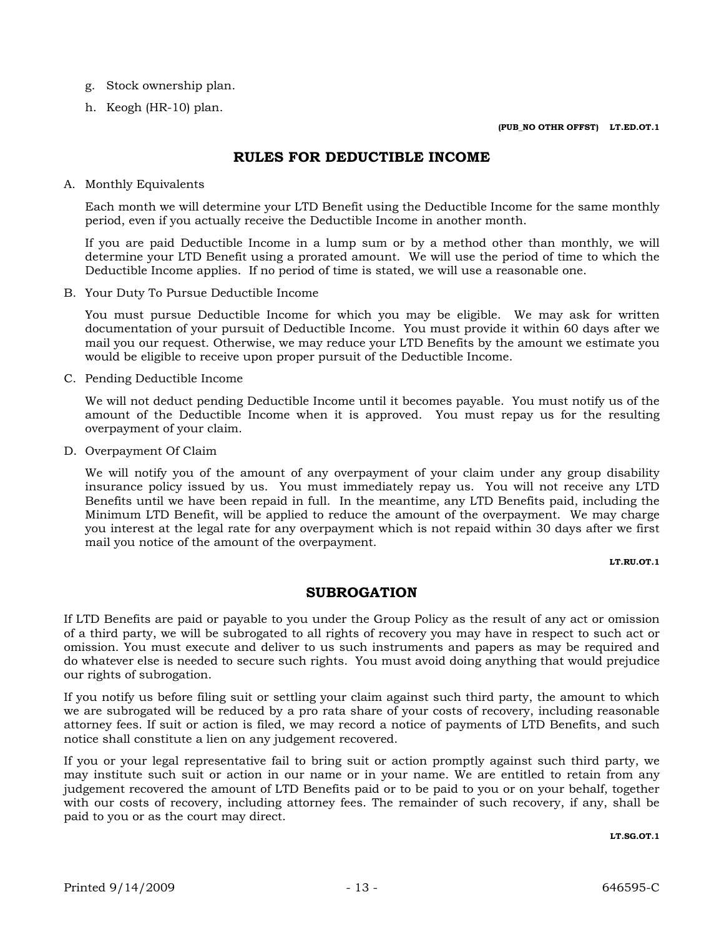- g. Stock ownership plan.
- h. Keogh (HR-10) plan.

## **RULES FOR DEDUCTIBLE INCOME**

A. Monthly Equivalents

Each month we will determine your LTD Benefit using the Deductible Income for the same monthly period, even if you actually receive the Deductible Income in another month.

If you are paid Deductible Income in a lump sum or by a method other than monthly, we will determine your LTD Benefit using a prorated amount. We will use the period of time to which the Deductible Income applies. If no period of time is stated, we will use a reasonable one.

B. Your Duty To Pursue Deductible Income

You must pursue Deductible Income for which you may be eligible. We may ask for written documentation of your pursuit of Deductible Income. You must provide it within 60 days after we mail you our request. Otherwise, we may reduce your LTD Benefits by the amount we estimate you would be eligible to receive upon proper pursuit of the Deductible Income.

C. Pending Deductible Income

We will not deduct pending Deductible Income until it becomes payable. You must notify us of the amount of the Deductible Income when it is approved. You must repay us for the resulting overpayment of your claim.

D. Overpayment Of Claim

We will notify you of the amount of any overpayment of your claim under any group disability insurance policy issued by us. You must immediately repay us. You will not receive any LTD Benefits until we have been repaid in full. In the meantime, any LTD Benefits paid, including the Minimum LTD Benefit, will be applied to reduce the amount of the overpayment. We may charge you interest at the legal rate for any overpayment which is not repaid within 30 days after we first mail you notice of the amount of the overpayment.

**LT.RU.OT.1**

#### **SUBROGATION**

If LTD Benefits are paid or payable to you under the Group Policy as the result of any act or omission of a third party, we will be subrogated to all rights of recovery you may have in respect to such act or omission. You must execute and deliver to us such instruments and papers as may be required and do whatever else is needed to secure such rights. You must avoid doing anything that would prejudice our rights of subrogation.

If you notify us before filing suit or settling your claim against such third party, the amount to which we are subrogated will be reduced by a pro rata share of your costs of recovery, including reasonable attorney fees. If suit or action is filed, we may record a notice of payments of LTD Benefits, and such notice shall constitute a lien on any judgement recovered.

If you or your legal representative fail to bring suit or action promptly against such third party, we may institute such suit or action in our name or in your name. We are entitled to retain from any judgement recovered the amount of LTD Benefits paid or to be paid to you or on your behalf, together with our costs of recovery, including attorney fees. The remainder of such recovery, if any, shall be paid to you or as the court may direct.

**LT.SG.OT.1**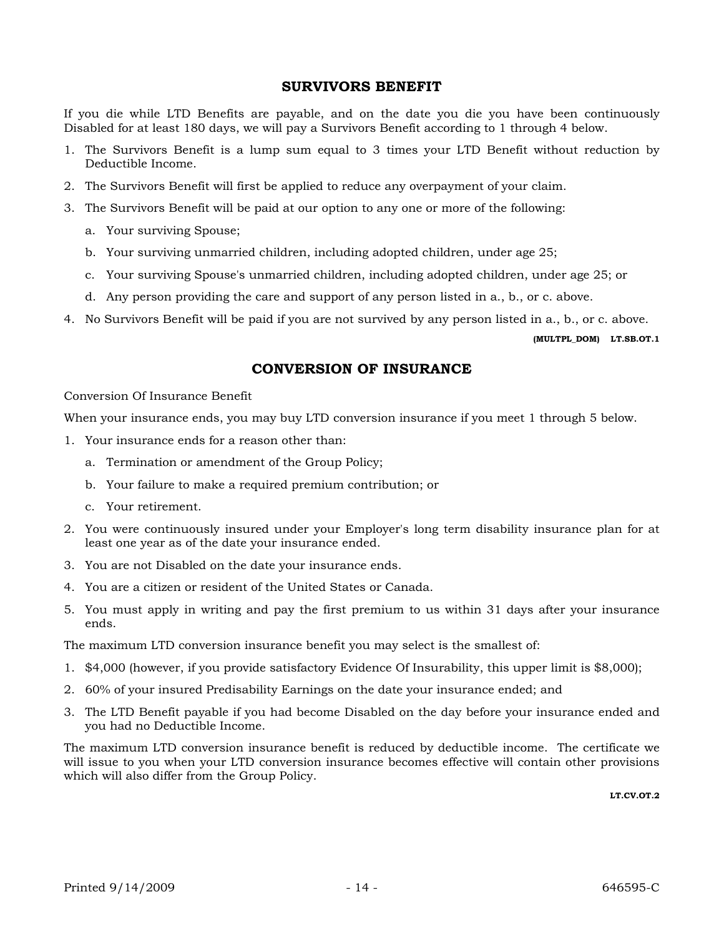#### **SURVIVORS BENEFIT**

If you die while LTD Benefits are payable, and on the date you die you have been continuously Disabled for at least 180 days, we will pay a Survivors Benefit according to 1 through 4 below.

- 1. The Survivors Benefit is a lump sum equal to 3 times your LTD Benefit without reduction by Deductible Income.
- 2. The Survivors Benefit will first be applied to reduce any overpayment of your claim.
- 3. The Survivors Benefit will be paid at our option to any one or more of the following:
	- a. Your surviving Spouse;
	- b. Your surviving unmarried children, including adopted children, under age 25;
	- c. Your surviving Spouse's unmarried children, including adopted children, under age 25; or
	- d. Any person providing the care and support of any person listed in a., b., or c. above.
- 4. No Survivors Benefit will be paid if you are not survived by any person listed in a., b., or c. above.

**(MULTPL\_DOM) LT.SB.OT.1**

## **CONVERSION OF INSURANCE**

#### Conversion Of Insurance Benefit

When your insurance ends, you may buy LTD conversion insurance if you meet 1 through 5 below.

- 1. Your insurance ends for a reason other than:
	- a. Termination or amendment of the Group Policy;
	- b. Your failure to make a required premium contribution; or
	- c. Your retirement.
- 2. You were continuously insured under your Employer's long term disability insurance plan for at least one year as of the date your insurance ended.
- 3. You are not Disabled on the date your insurance ends.
- 4. You are a citizen or resident of the United States or Canada.
- 5. You must apply in writing and pay the first premium to us within 31 days after your insurance ends.

The maximum LTD conversion insurance benefit you may select is the smallest of:

- 1. \$4,000 (however, if you provide satisfactory Evidence Of Insurability, this upper limit is \$8,000);
- 2. 60% of your insured Predisability Earnings on the date your insurance ended; and
- 3. The LTD Benefit payable if you had become Disabled on the day before your insurance ended and you had no Deductible Income.

The maximum LTD conversion insurance benefit is reduced by deductible income. The certificate we will issue to you when your LTD conversion insurance becomes effective will contain other provisions which will also differ from the Group Policy.

**LT.CV.OT.2**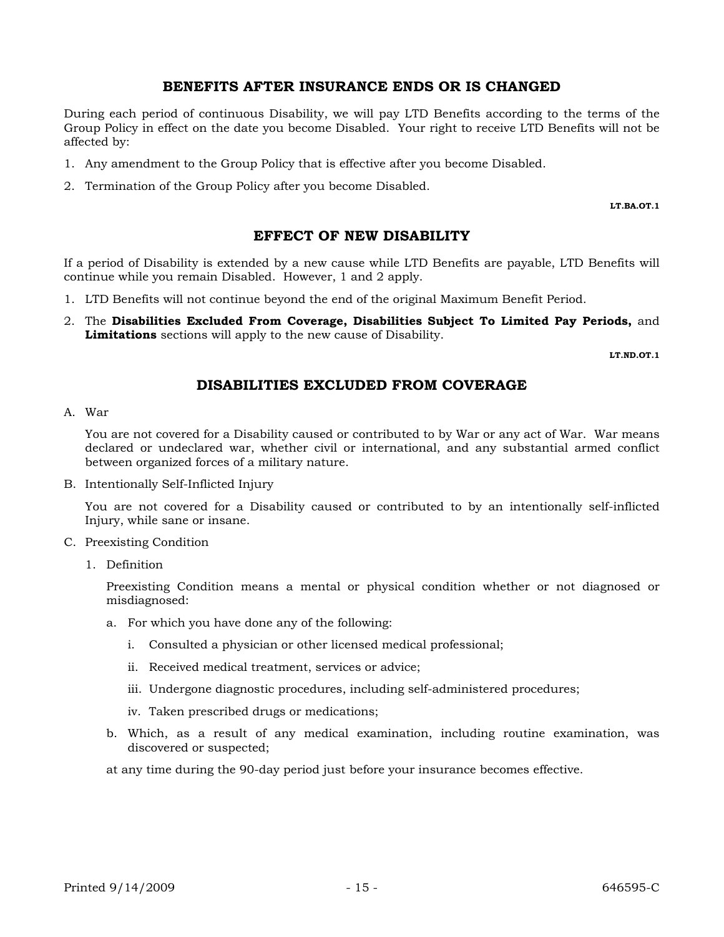#### **BENEFITS AFTER INSURANCE ENDS OR IS CHANGED**

During each period of continuous Disability, we will pay LTD Benefits according to the terms of the Group Policy in effect on the date you become Disabled. Your right to receive LTD Benefits will not be affected by:

- 1. Any amendment to the Group Policy that is effective after you become Disabled.
- 2. Termination of the Group Policy after you become Disabled.

**LT.BA.OT.1**

## **EFFECT OF NEW DISABILITY**

If a period of Disability is extended by a new cause while LTD Benefits are payable, LTD Benefits will continue while you remain Disabled. However, 1 and 2 apply.

- 1. LTD Benefits will not continue beyond the end of the original Maximum Benefit Period.
- 2. The **Disabilities Excluded From Coverage, Disabilities Subject To Limited Pay Periods,** and **Limitations** sections will apply to the new cause of Disability.

**LT.ND.OT.1**

## **DISABILITIES EXCLUDED FROM COVERAGE**

A. War

You are not covered for a Disability caused or contributed to by War or any act of War. War means declared or undeclared war, whether civil or international, and any substantial armed conflict between organized forces of a military nature.

B. Intentionally Self-Inflicted Injury

You are not covered for a Disability caused or contributed to by an intentionally self-inflicted Injury, while sane or insane.

#### C. Preexisting Condition

1. Definition

Preexisting Condition means a mental or physical condition whether or not diagnosed or misdiagnosed:

- a. For which you have done any of the following:
	- i. Consulted a physician or other licensed medical professional;
	- ii. Received medical treatment, services or advice;
	- iii. Undergone diagnostic procedures, including self-administered procedures;
	- iv. Taken prescribed drugs or medications;
- b. Which, as a result of any medical examination, including routine examination, was discovered or suspected;

at any time during the 90-day period just before your insurance becomes effective.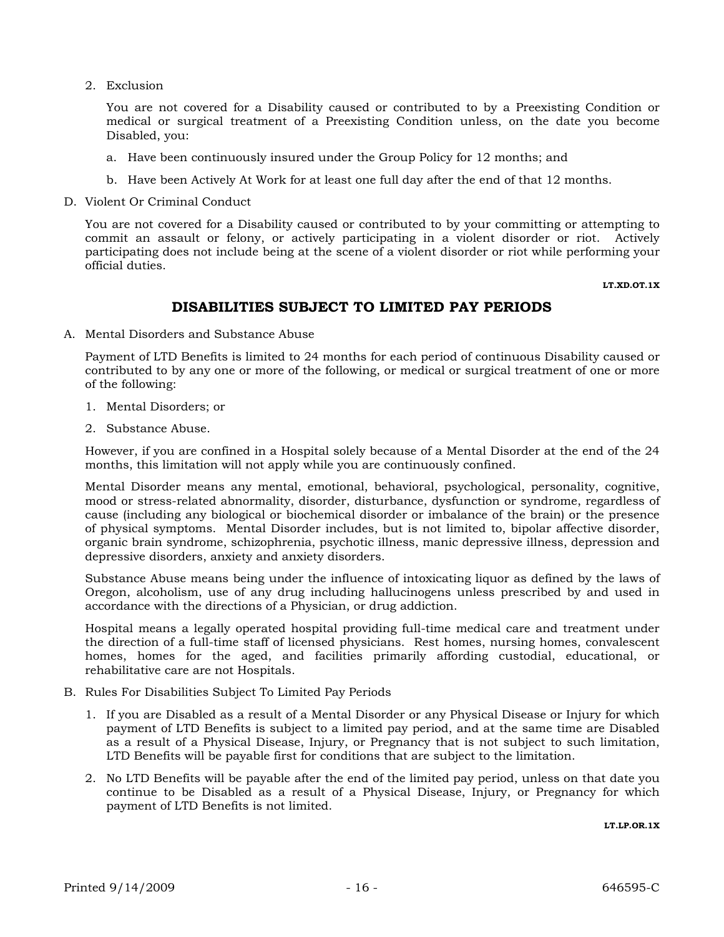2. Exclusion

You are not covered for a Disability caused or contributed to by a Preexisting Condition or medical or surgical treatment of a Preexisting Condition unless, on the date you become Disabled, you:

- a. Have been continuously insured under the Group Policy for 12 months; and
- b. Have been Actively At Work for at least one full day after the end of that 12 months.
- D. Violent Or Criminal Conduct

You are not covered for a Disability caused or contributed to by your committing or attempting to commit an assault or felony, or actively participating in a violent disorder or riot. Actively participating does not include being at the scene of a violent disorder or riot while performing your official duties.

 **LT.XD.OT.1X**

## **DISABILITIES SUBJECT TO LIMITED PAY PERIODS**

A. Mental Disorders and Substance Abuse

Payment of LTD Benefits is limited to 24 months for each period of continuous Disability caused or contributed to by any one or more of the following, or medical or surgical treatment of one or more of the following:

- 1. Mental Disorders; or
- 2. Substance Abuse.

However, if you are confined in a Hospital solely because of a Mental Disorder at the end of the 24 months, this limitation will not apply while you are continuously confined.

Mental Disorder means any mental, emotional, behavioral, psychological, personality, cognitive, mood or stress-related abnormality, disorder, disturbance, dysfunction or syndrome, regardless of cause (including any biological or biochemical disorder or imbalance of the brain) or the presence of physical symptoms. Mental Disorder includes, but is not limited to, bipolar affective disorder, organic brain syndrome, schizophrenia, psychotic illness, manic depressive illness, depression and depressive disorders, anxiety and anxiety disorders.

Substance Abuse means being under the influence of intoxicating liquor as defined by the laws of Oregon, alcoholism, use of any drug including hallucinogens unless prescribed by and used in accordance with the directions of a Physician, or drug addiction.

Hospital means a legally operated hospital providing full-time medical care and treatment under the direction of a full-time staff of licensed physicians. Rest homes, nursing homes, convalescent homes, homes for the aged, and facilities primarily affording custodial, educational, or rehabilitative care are not Hospitals.

- B. Rules For Disabilities Subject To Limited Pay Periods
	- 1. If you are Disabled as a result of a Mental Disorder or any Physical Disease or Injury for which payment of LTD Benefits is subject to a limited pay period, and at the same time are Disabled as a result of a Physical Disease, Injury, or Pregnancy that is not subject to such limitation, LTD Benefits will be payable first for conditions that are subject to the limitation.
	- 2. No LTD Benefits will be payable after the end of the limited pay period, unless on that date you continue to be Disabled as a result of a Physical Disease, Injury, or Pregnancy for which payment of LTD Benefits is not limited.

**LT.LP.OR.1X**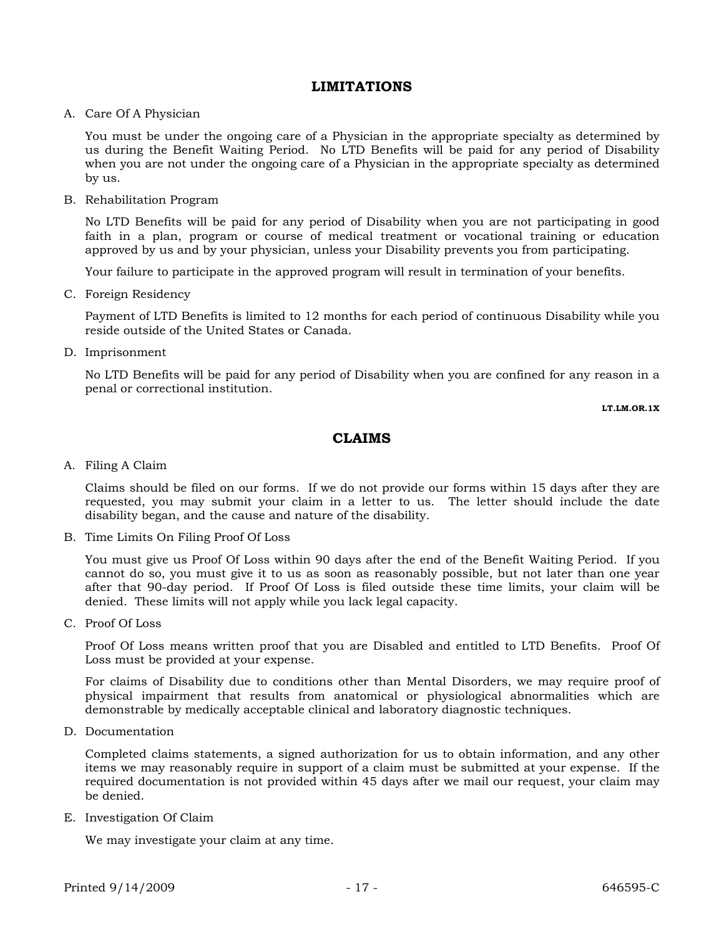## **LIMITATIONS**

#### A. Care Of A Physician

You must be under the ongoing care of a Physician in the appropriate specialty as determined by us during the Benefit Waiting Period. No LTD Benefits will be paid for any period of Disability when you are not under the ongoing care of a Physician in the appropriate specialty as determined by us.

B. Rehabilitation Program

No LTD Benefits will be paid for any period of Disability when you are not participating in good faith in a plan, program or course of medical treatment or vocational training or education approved by us and by your physician, unless your Disability prevents you from participating.

Your failure to participate in the approved program will result in termination of your benefits.

C. Foreign Residency

Payment of LTD Benefits is limited to 12 months for each period of continuous Disability while you reside outside of the United States or Canada.

D. Imprisonment

No LTD Benefits will be paid for any period of Disability when you are confined for any reason in a penal or correctional institution.

**LT.LM.OR.1X**

## **CLAIMS**

A. Filing A Claim

Claims should be filed on our forms. If we do not provide our forms within 15 days after they are requested, you may submit your claim in a letter to us. The letter should include the date disability began, and the cause and nature of the disability.

B. Time Limits On Filing Proof Of Loss

You must give us Proof Of Loss within 90 days after the end of the Benefit Waiting Period. If you cannot do so, you must give it to us as soon as reasonably possible, but not later than one year after that 90-day period. If Proof Of Loss is filed outside these time limits, your claim will be denied. These limits will not apply while you lack legal capacity.

C. Proof Of Loss

Proof Of Loss means written proof that you are Disabled and entitled to LTD Benefits. Proof Of Loss must be provided at your expense.

For claims of Disability due to conditions other than Mental Disorders, we may require proof of physical impairment that results from anatomical or physiological abnormalities which are demonstrable by medically acceptable clinical and laboratory diagnostic techniques.

D. Documentation

Completed claims statements, a signed authorization for us to obtain information, and any other items we may reasonably require in support of a claim must be submitted at your expense. If the required documentation is not provided within 45 days after we mail our request, your claim may be denied.

E. Investigation Of Claim

We may investigate your claim at any time.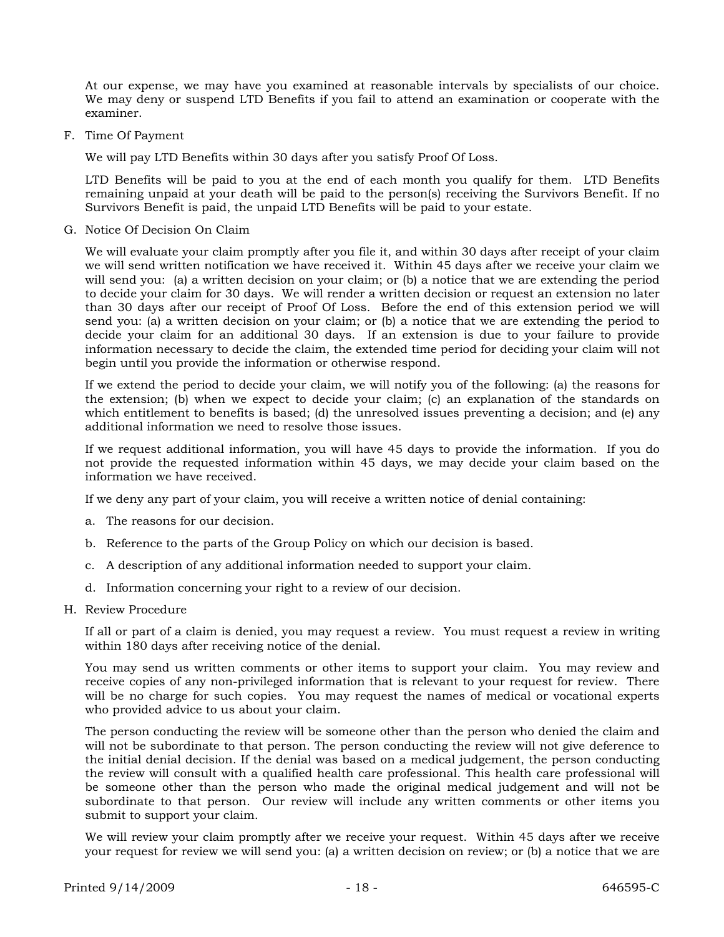At our expense, we may have you examined at reasonable intervals by specialists of our choice. We may deny or suspend LTD Benefits if you fail to attend an examination or cooperate with the examiner.

F. Time Of Payment

We will pay LTD Benefits within 30 days after you satisfy Proof Of Loss.

LTD Benefits will be paid to you at the end of each month you qualify for them. LTD Benefits remaining unpaid at your death will be paid to the person(s) receiving the Survivors Benefit. If no Survivors Benefit is paid, the unpaid LTD Benefits will be paid to your estate.

G. Notice Of Decision On Claim

We will evaluate your claim promptly after you file it, and within 30 days after receipt of your claim we will send written notification we have received it. Within 45 days after we receive your claim we will send you: (a) a written decision on your claim; or (b) a notice that we are extending the period to decide your claim for 30 days. We will render a written decision or request an extension no later than 30 days after our receipt of Proof Of Loss. Before the end of this extension period we will send you: (a) a written decision on your claim; or (b) a notice that we are extending the period to decide your claim for an additional 30 days. If an extension is due to your failure to provide information necessary to decide the claim, the extended time period for deciding your claim will not begin until you provide the information or otherwise respond.

If we extend the period to decide your claim, we will notify you of the following: (a) the reasons for the extension; (b) when we expect to decide your claim; (c) an explanation of the standards on which entitlement to benefits is based; (d) the unresolved issues preventing a decision; and (e) any additional information we need to resolve those issues.

If we request additional information, you will have 45 days to provide the information. If you do not provide the requested information within 45 days, we may decide your claim based on the information we have received.

If we deny any part of your claim, you will receive a written notice of denial containing:

- a. The reasons for our decision.
- b. Reference to the parts of the Group Policy on which our decision is based.
- c. A description of any additional information needed to support your claim.
- d. Information concerning your right to a review of our decision.
- H. Review Procedure

If all or part of a claim is denied, you may request a review. You must request a review in writing within 180 days after receiving notice of the denial.

You may send us written comments or other items to support your claim. You may review and receive copies of any non-privileged information that is relevant to your request for review. There will be no charge for such copies. You may request the names of medical or vocational experts who provided advice to us about your claim.

The person conducting the review will be someone other than the person who denied the claim and will not be subordinate to that person. The person conducting the review will not give deference to the initial denial decision. If the denial was based on a medical judgement, the person conducting the review will consult with a qualified health care professional. This health care professional will be someone other than the person who made the original medical judgement and will not be subordinate to that person. Our review will include any written comments or other items you submit to support your claim.

We will review your claim promptly after we receive your request. Within 45 days after we receive your request for review we will send you: (a) a written decision on review; or (b) a notice that we are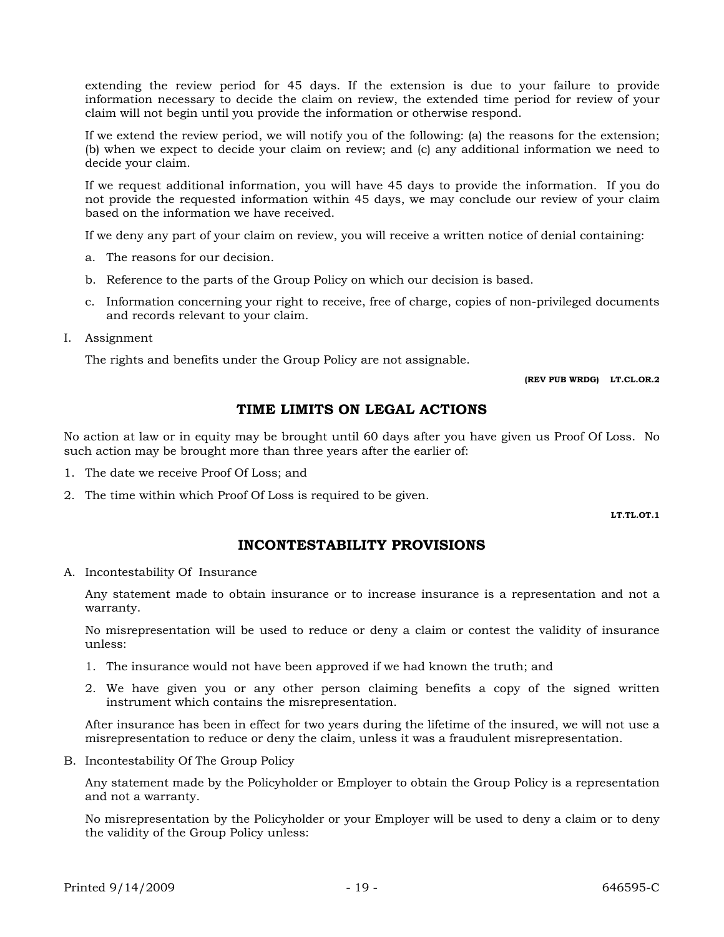extending the review period for 45 days. If the extension is due to your failure to provide information necessary to decide the claim on review, the extended time period for review of your claim will not begin until you provide the information or otherwise respond.

If we extend the review period, we will notify you of the following: (a) the reasons for the extension; (b) when we expect to decide your claim on review; and (c) any additional information we need to decide your claim.

If we request additional information, you will have 45 days to provide the information. If you do not provide the requested information within 45 days, we may conclude our review of your claim based on the information we have received.

If we deny any part of your claim on review, you will receive a written notice of denial containing:

- a. The reasons for our decision.
- b. Reference to the parts of the Group Policy on which our decision is based.
- c. Information concerning your right to receive, free of charge, copies of non-privileged documents and records relevant to your claim.

I. Assignment

The rights and benefits under the Group Policy are not assignable.

**(REV PUB WRDG) LT.CL.OR.2**

## **TIME LIMITS ON LEGAL ACTIONS**

No action at law or in equity may be brought until 60 days after you have given us Proof Of Loss. No such action may be brought more than three years after the earlier of:

- 1. The date we receive Proof Of Loss; and
- 2. The time within which Proof Of Loss is required to be given.

**LT.TL.OT.1**

## **INCONTESTABILITY PROVISIONS**

A. Incontestability Of Insurance

Any statement made to obtain insurance or to increase insurance is a representation and not a warranty.

No misrepresentation will be used to reduce or deny a claim or contest the validity of insurance unless:

- 1. The insurance would not have been approved if we had known the truth; and
- 2. We have given you or any other person claiming benefits a copy of the signed written instrument which contains the misrepresentation.

After insurance has been in effect for two years during the lifetime of the insured, we will not use a misrepresentation to reduce or deny the claim, unless it was a fraudulent misrepresentation.

B. Incontestability Of The Group Policy

Any statement made by the Policyholder or Employer to obtain the Group Policy is a representation and not a warranty.

No misrepresentation by the Policyholder or your Employer will be used to deny a claim or to deny the validity of the Group Policy unless: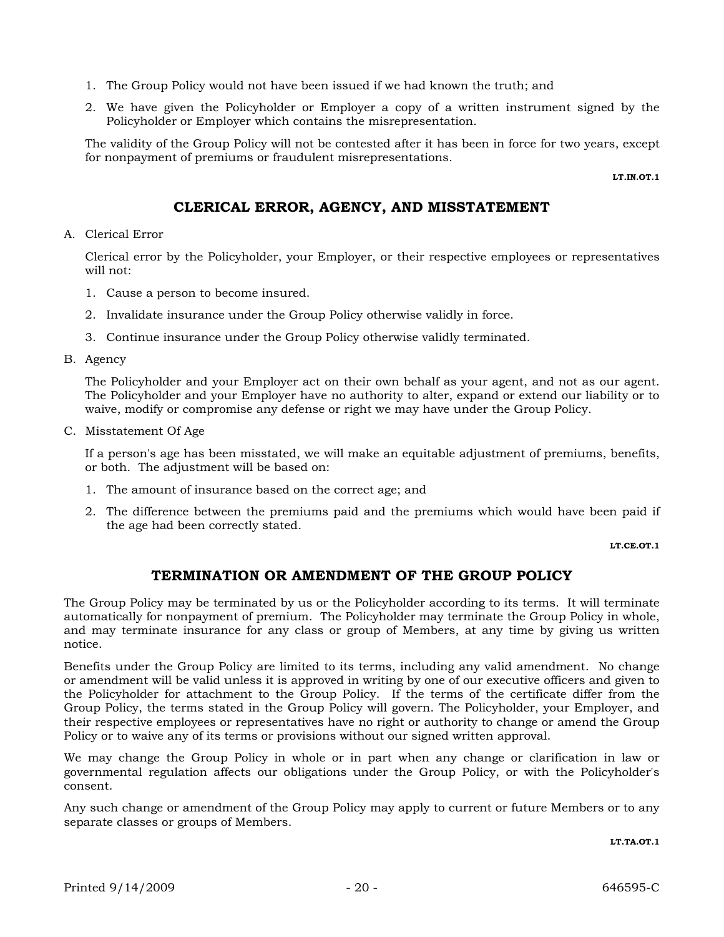- 1. The Group Policy would not have been issued if we had known the truth; and
- 2. We have given the Policyholder or Employer a copy of a written instrument signed by the Policyholder or Employer which contains the misrepresentation.

The validity of the Group Policy will not be contested after it has been in force for two years, except for nonpayment of premiums or fraudulent misrepresentations.

**LT.IN.OT.1**

## **CLERICAL ERROR, AGENCY, AND MISSTATEMENT**

A. Clerical Error

Clerical error by the Policyholder, your Employer, or their respective employees or representatives will not:

- 1. Cause a person to become insured.
- 2. Invalidate insurance under the Group Policy otherwise validly in force.
- 3. Continue insurance under the Group Policy otherwise validly terminated.
- B. Agency

The Policyholder and your Employer act on their own behalf as your agent, and not as our agent. The Policyholder and your Employer have no authority to alter, expand or extend our liability or to waive, modify or compromise any defense or right we may have under the Group Policy.

C. Misstatement Of Age

If a person's age has been misstated, we will make an equitable adjustment of premiums, benefits, or both. The adjustment will be based on:

- 1. The amount of insurance based on the correct age; and
- 2. The difference between the premiums paid and the premiums which would have been paid if the age had been correctly stated.

**LT.CE.OT.1**

## **TERMINATION OR AMENDMENT OF THE GROUP POLICY**

The Group Policy may be terminated by us or the Policyholder according to its terms. It will terminate automatically for nonpayment of premium. The Policyholder may terminate the Group Policy in whole, and may terminate insurance for any class or group of Members, at any time by giving us written notice.

Benefits under the Group Policy are limited to its terms, including any valid amendment. No change or amendment will be valid unless it is approved in writing by one of our executive officers and given to the Policyholder for attachment to the Group Policy. If the terms of the certificate differ from the Group Policy, the terms stated in the Group Policy will govern. The Policyholder, your Employer, and their respective employees or representatives have no right or authority to change or amend the Group Policy or to waive any of its terms or provisions without our signed written approval.

We may change the Group Policy in whole or in part when any change or clarification in law or governmental regulation affects our obligations under the Group Policy, or with the Policyholder's consent.

Any such change or amendment of the Group Policy may apply to current or future Members or to any separate classes or groups of Members.

**LT.TA.OT.1**